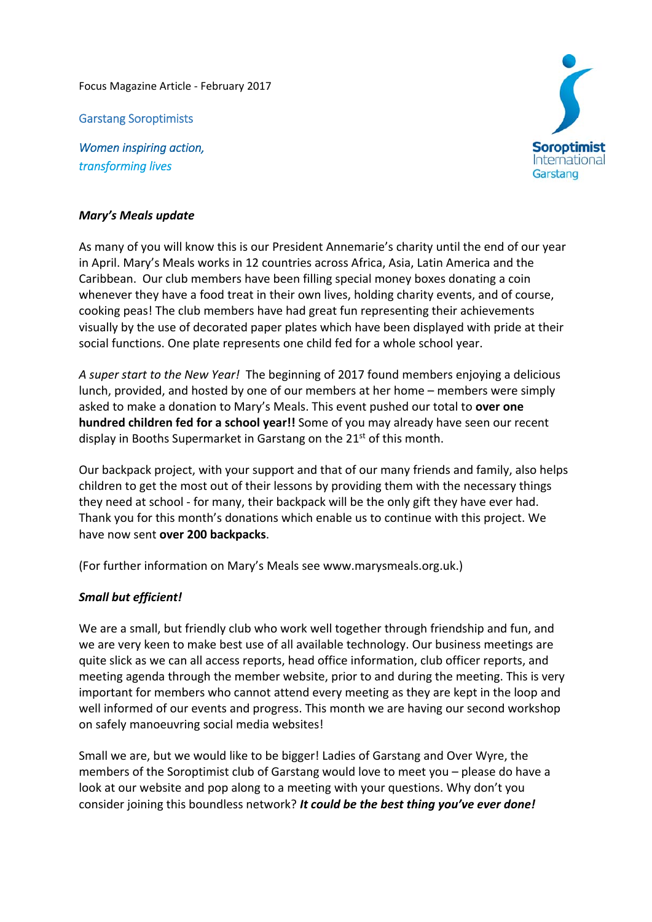Focus Magazine Article ‐ February 2017

Garstang Soroptimists

*Women inspiring action, transforming lives*



## *Mary's Meals update*

As many of you will know this is our President Annemarie's charity until the end of our year in April. Mary's Meals works in 12 countries across Africa, Asia, Latin America and the Caribbean. Our club members have been filling special money boxes donating a coin whenever they have a food treat in their own lives, holding charity events, and of course, cooking peas! The club members have had great fun representing their achievements visually by the use of decorated paper plates which have been displayed with pride at their social functions. One plate represents one child fed for a whole school year.

*A super start to the New Year!* The beginning of 2017 found members enjoying a delicious lunch, provided, and hosted by one of our members at her home – members were simply asked to make a donation to Mary's Meals. This event pushed our total to **over one hundred children fed for a school year!!** Some of you may already have seen our recent display in Booths Supermarket in Garstang on the 21<sup>st</sup> of this month.

Our backpack project, with your support and that of our many friends and family, also helps children to get the most out of their lessons by providing them with the necessary things they need at school ‐ for many, their backpack will be the only gift they have ever had. Thank you for this month's donations which enable us to continue with this project. We have now sent **over 200 backpacks**.

(For further information on Mary's Meals see www.marysmeals.org.uk.)

## *Small but efficient!*

We are a small, but friendly club who work well together through friendship and fun, and we are very keen to make best use of all available technology. Our business meetings are quite slick as we can all access reports, head office information, club officer reports, and meeting agenda through the member website, prior to and during the meeting. This is very important for members who cannot attend every meeting as they are kept in the loop and well informed of our events and progress. This month we are having our second workshop on safely manoeuvring social media websites!

Small we are, but we would like to be bigger! Ladies of Garstang and Over Wyre, the members of the Soroptimist club of Garstang would love to meet you – please do have a look at our website and pop along to a meeting with your questions. Why don't you consider joining this boundless network? *It could be the best thing you've ever done!*